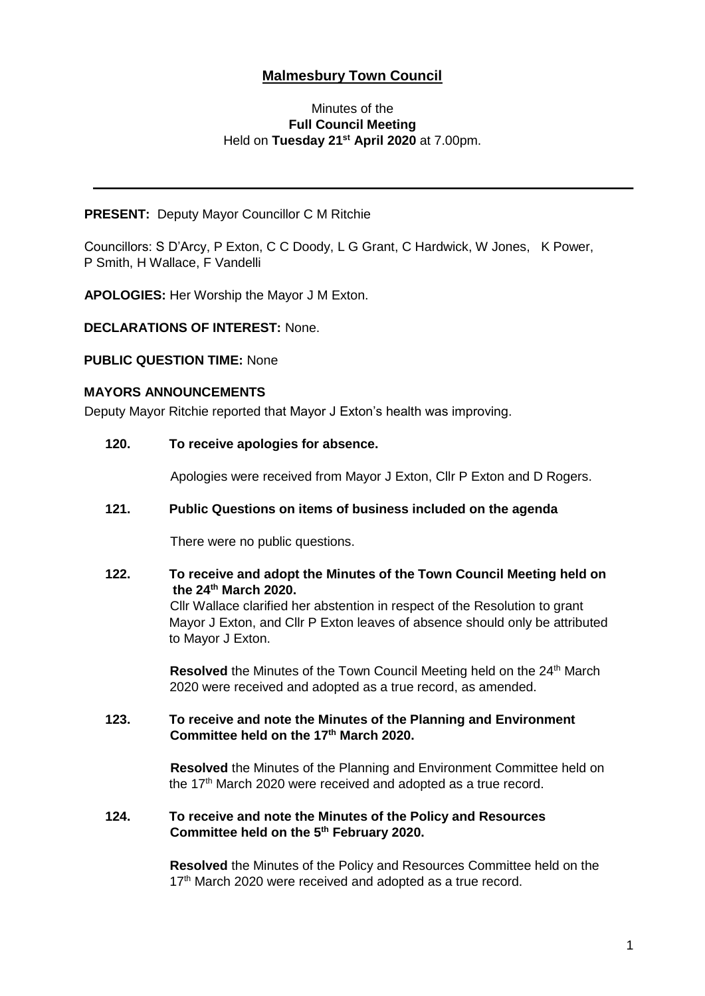# **Malmesbury Town Council**

### Minutes of the **Full Council Meeting** Held on **Tuesday 21st April 2020** at 7.00pm.

### **PRESENT:** Deputy Mayor Councillor C M Ritchie

Councillors: S D'Arcy, P Exton, C C Doody, L G Grant, C Hardwick, W Jones, K Power, P Smith, H Wallace, F Vandelli

**APOLOGIES:** Her Worship the Mayor J M Exton.

### **DECLARATIONS OF INTEREST:** None.

### **PUBLIC QUESTION TIME:** None

### **MAYORS ANNOUNCEMENTS**

Deputy Mayor Ritchie reported that Mayor J Exton's health was improving.

### **120. To receive apologies for absence.**

Apologies were received from Mayor J Exton, Cllr P Exton and D Rogers.

### **121. Public Questions on items of business included on the agenda**

There were no public questions.

**122. To receive and adopt the Minutes of the Town Council Meeting held on the 24th March 2020.**  Cllr Wallace clarified her abstention in respect of the Resolution to grant Mayor J Exton, and Cllr P Exton leaves of absence should only be attributed

to Mayor J Exton.

**Resolved** the Minutes of the Town Council Meeting held on the 24<sup>th</sup> March 2020 were received and adopted as a true record, as amended.

# **123. To receive and note the Minutes of the Planning and Environment Committee held on the 17th March 2020.**

 **Resolved** the Minutes of the Planning and Environment Committee held on the 17<sup>th</sup> March 2020 were received and adopted as a true record.

### **124. To receive and note the Minutes of the Policy and Resources Committee held on the 5th February 2020.**

**Resolved** the Minutes of the Policy and Resources Committee held on the 17<sup>th</sup> March 2020 were received and adopted as a true record.

j.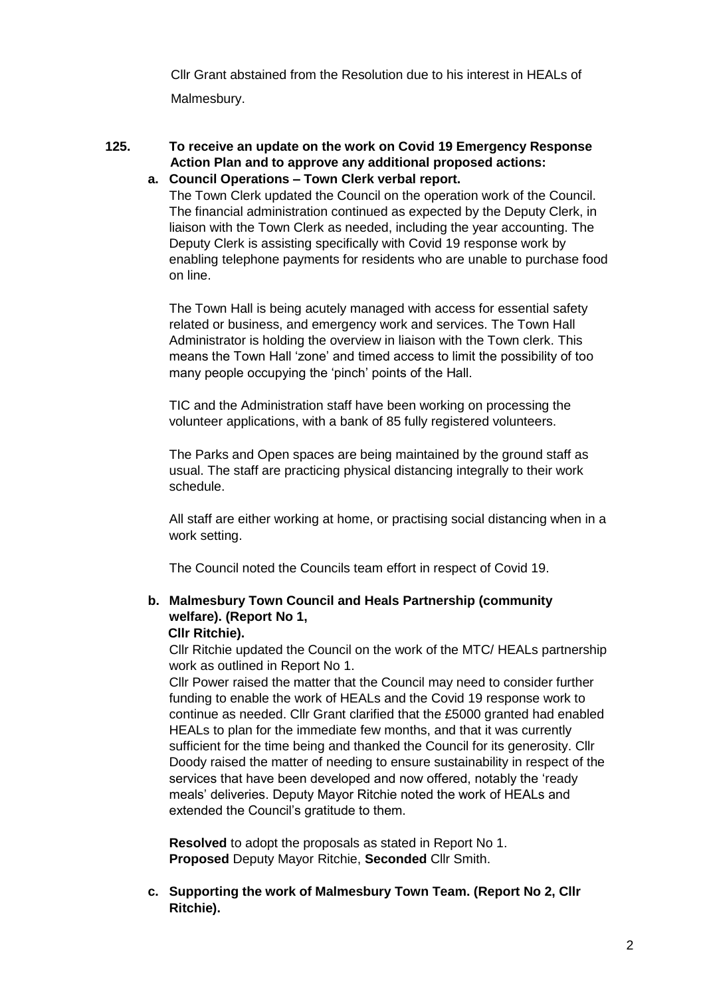Cllr Grant abstained from the Resolution due to his interest in HEALs of Malmesbury.

# **125. To receive an update on the work on Covid 19 Emergency Response Action Plan and to approve any additional proposed actions:**

**a. Council Operations – Town Clerk verbal report.**

The Town Clerk updated the Council on the operation work of the Council. The financial administration continued as expected by the Deputy Clerk, in liaison with the Town Clerk as needed, including the year accounting. The Deputy Clerk is assisting specifically with Covid 19 response work by enabling telephone payments for residents who are unable to purchase food on line.

The Town Hall is being acutely managed with access for essential safety related or business, and emergency work and services. The Town Hall Administrator is holding the overview in liaison with the Town clerk. This means the Town Hall 'zone' and timed access to limit the possibility of too many people occupying the 'pinch' points of the Hall.

TIC and the Administration staff have been working on processing the volunteer applications, with a bank of 85 fully registered volunteers.

The Parks and Open spaces are being maintained by the ground staff as usual. The staff are practicing physical distancing integrally to their work schedule.

All staff are either working at home, or practising social distancing when in a work setting.

The Council noted the Councils team effort in respect of Covid 19.

### **b. Malmesbury Town Council and Heals Partnership (community welfare). (Report No 1, Cllr Ritchie).**

Cllr Ritchie updated the Council on the work of the MTC/ HEALs partnership work as outlined in Report No 1.

Cllr Power raised the matter that the Council may need to consider further funding to enable the work of HEALs and the Covid 19 response work to continue as needed. Cllr Grant clarified that the £5000 granted had enabled HEALs to plan for the immediate few months, and that it was currently sufficient for the time being and thanked the Council for its generosity. Cllr Doody raised the matter of needing to ensure sustainability in respect of the services that have been developed and now offered, notably the 'ready meals' deliveries. Deputy Mayor Ritchie noted the work of HEALs and extended the Council's gratitude to them.

**Resolved** to adopt the proposals as stated in Report No 1. **Proposed** Deputy Mayor Ritchie, **Seconded** Cllr Smith.

**c. Supporting the work of Malmesbury Town Team. (Report No 2, Cllr Ritchie).**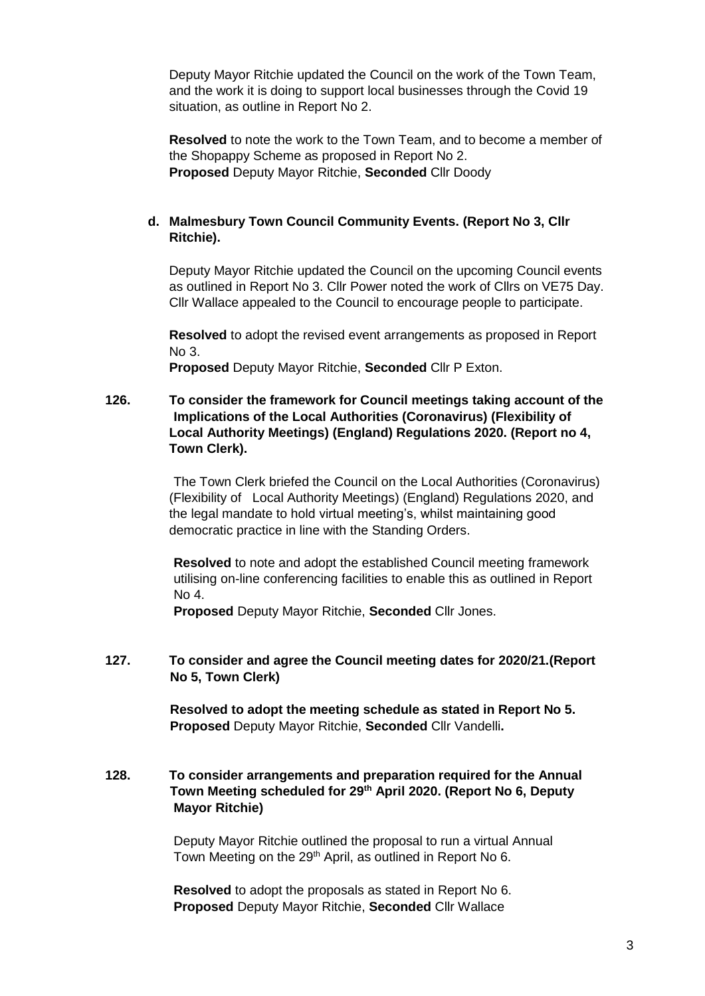Deputy Mayor Ritchie updated the Council on the work of the Town Team, and the work it is doing to support local businesses through the Covid 19 situation, as outline in Report No 2.

**Resolved** to note the work to the Town Team, and to become a member of the Shopappy Scheme as proposed in Report No 2. **Proposed** Deputy Mayor Ritchie, **Seconded** Cllr Doody

# **d. Malmesbury Town Council Community Events. (Report No 3, Cllr Ritchie).**

Deputy Mayor Ritchie updated the Council on the upcoming Council events as outlined in Report No 3. Cllr Power noted the work of Cllrs on VE75 Day. Cllr Wallace appealed to the Council to encourage people to participate.

**Resolved** to adopt the revised event arrangements as proposed in Report No 3.

**Proposed** Deputy Mayor Ritchie, **Seconded** Cllr P Exton.

# **126. To consider the framework for Council meetings taking account of the Implications of the Local Authorities (Coronavirus) (Flexibility of Local Authority Meetings) (England) Regulations 2020. (Report no 4, Town Clerk).**

The Town Clerk briefed the Council on the Local Authorities (Coronavirus) (Flexibility of Local Authority Meetings) (England) Regulations 2020, and the legal mandate to hold virtual meeting's, whilst maintaining good democratic practice in line with the Standing Orders.

**Resolved** to note and adopt the established Council meeting framework utilising on-line conferencing facilities to enable this as outlined in Report No 4.

**Proposed** Deputy Mayor Ritchie, **Seconded** Cllr Jones.

## **127. To consider and agree the Council meeting dates for 2020/21.(Report No 5, Town Clerk)**

 **Resolved to adopt the meeting schedule as stated in Report No 5. Proposed** Deputy Mayor Ritchie, **Seconded** Cllr Vandelli**.**

# **128. To consider arrangements and preparation required for the Annual Town Meeting scheduled for 29th April 2020. (Report No 6, Deputy Mayor Ritchie)**

 Deputy Mayor Ritchie outlined the proposal to run a virtual Annual Town Meeting on the 29<sup>th</sup> April, as outlined in Report No 6.

 **Resolved** to adopt the proposals as stated in Report No 6.  **Proposed** Deputy Mayor Ritchie, **Seconded** Cllr Wallace